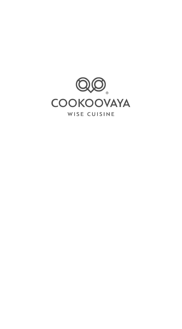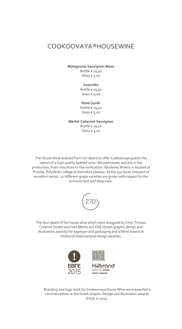### COOKOOVAYA®HOUSEWINE

**Malagousia-Sauvignon Blanc** Bottle € 19,50

Glass € 5,00

#### **Assyrtiko**

Bottle € 19,50 Glass  $\epsilon$  5,00

**Rosé-Syrah** Bottle € 19,50 Glass € 5,00

**Merlot-Cabernet Sauvignon** Bottle € 19,50 Glass  $\epsilon$  5,00

The House Wine evolved from our desire to offer Cookoovaya guests the option of a high quality bottled wine. We participate actively in the production, from viticulture to the vinification. Gkirlemis Winery is located at Prosilia, Polydentri village at Domokos plateau. At the 350 acres vineyard of excellent terroir, 12 different grape varieties are grown with respect to the environment and deep care.



The four labels of the house wine which were designed by Chris Trivizas Creative Studio won two Merits at EVGE (Greek graphic design and illustration awards) for logotype and packaging and a Merit Award at Hiiibrand (International design awards).



Branding and logo work for Cookoovaya House Wine were awarded a commendation at the Greek Graphic Design and Illustration awards EVGE in 2015.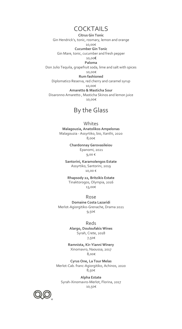### **COCKTAILS**

**Citrus Gin Tonic** Gin Hendrick's, tonic, rosmary, lemon and orange 10,00€ **Cucumber Gin Tonic** Gin Mare, tonic, cucumber and fresh pepper 10,00€ **Paloma** Don Julio Tequila, grapefruit soda, lime and salt with spices 10,00€ **Rum fashioned** Diplomatico Reserva, red cherry and caramel syrup 10,00€ **Amaretto & Masticha Sour** Disaronno Amaretto , Masticha Skinos and lemon juice 10,00€

### By the Glass

#### Whites

**Malagouzia, Anatolikos Ampelonas** Malagouzia - Assyrtiko, bio, Xanthi, 2020 8,00€

> **Chardonnay Gerovasileiou** Epanomi, 2021 9,00 €

**Santorini, Karamolengos Estate** Assyrtiko, Santorini, 2019 10,00 €

**Rhapsody 22, Britzikis Estate** Tinaktorogos, Olympia, 2016 13,00€

Rose

**Domaine Costa Lazaridi** Merlot-Agiorgitiko-Grenache, Drama 2021 9,50€

Reds

**Alargo, Douloufakis Wines** Syrah, Crete, 2018 7,50€

**Ramnista, Kir-Yianni Winery** Xinomavro, Naoussa, 2017 8,00€

**Cyrus One, La Τour Melas** Merlot-Cab. franc-Agiorgitiko, Achinos, 2020 8,50€

**Alpha Estate** Syrah-Xinomavro-Merlot, Florina, 2017 10,50€

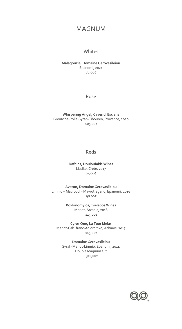# MAGNUM

### **Whites**

#### **Malagouzia, Domaine Gerovasileiou** Epanomi, 2021 88,00€

Rose

#### **Whispering Angel, Caves d' Esclans** Grenache-Rolle-Syrah-Tibouren, Provence, 2020 105,00€

### Reds

**Dafnios, Douloufakis Wines** Liatiko, Crete, 2017 61,00€

**Avaton, Domaine Gerovasileiou** Limnio – Mavroudi - Mavrotragano, Epanomi, 2016 98,00€

> **Kokkinomylos, Tselepos Wines** Merlot, Arcadia, 2018 115,00€

**Cyrus One, La Τour Melas** Merlot-Cab. franc-Agiorgitiko, Achinos, 2017 115,00€

**Domaine Gerovasileiou** Syrah-Merlot-Limnio, Epanomi, 2014 Double Magnum 3Lt 310,00€

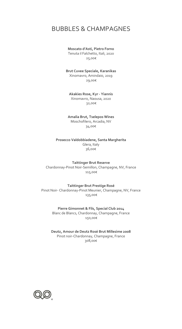# BUBBLES & CHAMPAGNES

#### **Moscato d'Asti, Pietro Forno** Tenuta il Falchetto, Itali, 2020 25,00€

**Brut Cuvee Speciale, Karanikas** Xinomavro, Amindaio, 2019 29,00€

**Akakies Rose, Kyr - Yiannis** Xinomavro, Naousa, 2020 32,00€

**Amalia Brut, Tselepos Wines** Moschofilero, Arcadia, NV 34,00€

**Prosecco Valdobbiadene, Santa Margherita** Glera, Italy 36,00€

**Taittinger Brut Reserve** Chardonnay-Pinot Noir-Semillon, Champagne, NV, France 115,00€

**Taittinger Brut Prestige Rosé** Pinot Noir- Chardonnay-Pinot Meunier, Champagne, NV, France 135,00€

> **Pierre Gimonnet & Fils, Special Club 2014** Blanc de Blancs, Chardonnay, Champagne, France 150,00€

**Deutz, Amour de Deutz Rosé Brut Millesime 2008** Pinot noir-Chardonnay, Champagne, France 308,00€

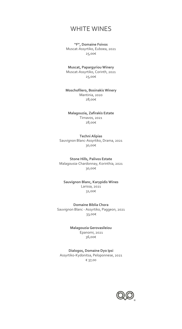### WHITE WINES

**"F", Domaine Foivos** Muscat-Assyrtiko, Euboea, 2021 25,00€

**Muscat, Papargyriou Winery** Muscat-Assyrtiko, Corinth, 2021 25,00€

**Moschofilero, Bosinakis Winery** Mantinia, 2020 28,00€

**Malagouzia, Zafirakis Estate** Tirnavos, 2021 28,00€

**Techni Alipias** Sauvignon Blanc-Assyrtiko, Drama, 2021 30,00€

**Stone Hills, Palivos Estate** Malagousia-Chardonnay, Korinthia, 2021 30,00€

#### **Sauvignon Blanc, Karypidis Wines** Larissa, 2021 31,00€

**Domaine Biblia Chora** Sauvignon Blanc - Assyrtiko, Paggeon, 2021 33,00€

> **Malagouzia Gerovasileiou** Epanomi, 2021 36,00€

**Dialogos, Domaine Dyo Ipsi** Assyrtiko-Kydonitsa, Peloponnese, 2021 € 37,00

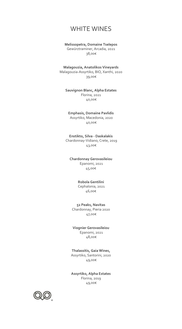### WHITE WINES

#### **Melissopetra, Domaine Tselepos** Gewürztraminer, Arcadia, 2021 38,00€

**Malagouzia, Anatolikos Vineyards** Malagouzia-Assyrtiko, BIO, Xanthi, 2020 39,00€

#### **Sauvignon Blanc, Alpha Estates** Florina, 2021 40,00€

**Emphasis, Domaine Pavlidis** Assyrtiko, Macedonia, 2020 40,00€

**Enstikto, Silva - Daskalakis** Chardonnay-Vidiano, Crete, 2019 43,00€

### **Chardonnay Gerovasileiou** Epanomi, 2021

45,00€

#### **Robola Gentilini** Cephalonia, 2021

46,00€

#### **52 Peaks, Navitas**

Chardonnay, Pieria 2020 47,00€

#### **Viognier Gerovasileiou** Epanomi, 2021 48,00€

**Thalassitis, Gaia Wines,** Assyrtiko, Santorini, 2020 49,00€

**Assyrtiko, Alpha Estates** Florina, 2019 49,00€

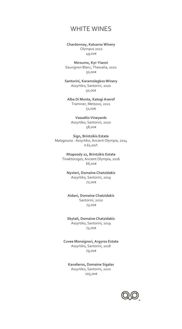# WHITE WINES

**Chardonnay, Katsaros Winery** Olympus 2021 49,00€

**Ntroumo, Kyr-Yianni** Sauvignon Blanc, Thessalia, 2020 50,00€

**Santorini, Karamolegkos Winery** Assyrtiko, Santorini, 2020 50,00€

**Alba Di Munte, Katogi Averof** Traminer, Metsovo, 2021 51,00€

**Vassaltis Vineyards** Assyrtiko, Santorini, 2020 58,00€

**Sign, Brintzikis Estate** Malagouzia - Assyrtiko, Ancient Olympia, 2014 € 61,00Λ

> **Rhapsody 22, Brintzikis Estate** Tinaktorogos, Ancient Olympia, 2016 66,00€

**Nyxteri, Domaine Chatzidakis** Assyrtiko, Santorini, 2019 72,00€

**Αidani, Domaine Chatzidakis** Santorini, 2020 73,00€

**Skytali, Domaine Chatzidakis** Assyrtiko, Santorini, 2019 75,00€

**Cuvee Monsignori, Argyros Estate** Assyrtiko, Santorini, 2018 79,00€

**Kavalieros, Domaine Sigalas** Assyrtiko, Santorini, 2020 105,00€

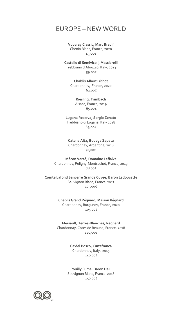### EUROPE – NEW WORLD

#### **Vouvray Classic, Marc Bredif** Chenin Blanc, France, 2020 45,00€

**Castello di Semivicoli, Masciarelli** Trebbiano d'Abruzzo, Italy, 2013 59,00€

> **Chablis Albert Bichot** Chardonnay, France, 2020 62,00€

> > **Riesling, Trimbach**  Alsace, France, 2019 65,00€

**Lugana Reserva, Sergio Zenato** Trebbiano di Lugana, Italy 2018 69,00€

**Catena Alta, Bodega Zapata** Chardonnay, Argentina, 2018 70,00€

**Mâcon Verzé, Domaine Leflaive** Chardonnay, Puligny-Montrachet, France, 2019 78,00€

**Comte Lafond Sancerre Grande Cuvee, Baron Ladoucette** Sauvignon Blanc, France 2017 105,00€

> **Chablis Grand Régnard, Maison Régnard** Chardonnay, Burgundy, France, 2020 105,00€

**Mersault, Terres-Blanches, Regnard** Chardonnay, Cotes de Beaune, France, 2018 140,00€

> **Ca'del Bosco, Curtefranca** Chardonnay, Italy, 2015 140,00€

**Pouilly Fume, Baron De L** Sauvignon Blanc, France 2018 150,00€

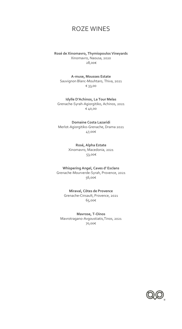# ROZE WINES

**Rosé de Xinomavro, Thymiopoulos Vineyards** Xinomavro, Naousa, 2020 28,00€

**A-muse, Mousses Estate** Sauvignon Blanc-Mouhtaro, Thiva, 2021 € 33,00

**Idylle D'Achinos, La Tour Melas** Grenache-Syrah-Agiorgitiko, Achinos, 2021 € 40,00

**Domaine Costa Lazaridi** Merlot-Agiorgitiko-Grenache, Drama 2021 47,00€

> **Rosé, Alpha Estate** Xinomavro, Macedonia, 2021 53,00€

**Whispering Angel, Caves d' Esclans** Grenache-Mourverde-Syrah, Provence, 2021 56,00€

> **Miraval, Côtes de Provence** Grenache-Cinsault, Provence, 2021 65,00€

**Mavrose, T-Oinos** Mavrotragano-Avgoustiatis,Tinos, 2021 70,00€

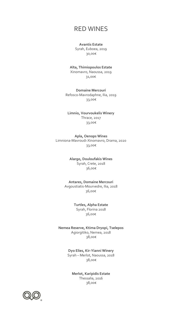#### **Avantis Estate**

Syrah, Euboea, 2019 30,00€

**Alta, Thimiopoulos Estate** Xinomavro, Naoussa, 2019 31,00€

**Domaine Mercouri** Refosco-Mavrodaphne, Ilia, 2019 33,00€

#### **Limnio, Vourvoukelis Winery** Thrace, 2017 33,00€

**Apla, Oenops Wines** Limniona-Mavroudi-Xinomavro, Drama, 2020 33,00€

> **Alargo, Douloufakis Wines** Syrah, Crete, 2018 36,00€

**Antares, Domaine Mercouri** Avgoustiatis-Mourvedre, Ilia, 2018 36,00€

> **Turtles, Alpha Estate** Syrah, Florina 2018 36,00€

**Nemea Reserve, Ktima Dryopi, Tselepos** Agiorgitiko, Nemea, 2018 38,00€

> **Dyo Elies, Kir-Yianni Winery** Syrah – Merlot, Naoussa, 2018 38,00€

**Merlot, Karipidis Estate** Thessalia, 2016 38,00€

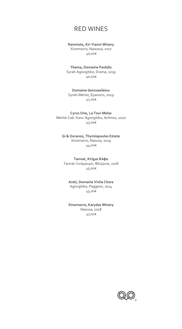### **Ramnista, Kir-Yianni Winery**

Xinomavro, Naoussa, 2017 40,00€

**Thema, Domaine Pavlidis** Syrah-Agiorgitiko, Drama, 2019 40,00€

**Domaine Gerovasileiou** Syrah-Merlot, Epanomi, 2019 41,00€

**Cyrus One, La Τour Melas** Merlot-Cab. franc-Agiorgitiko, Achinos, 2020 43,00€

**Gi & Ouranos, Thymiopoulos Estate** Xinomavro, Naousa, 2019 44,00€

**Tannat, Κτήμα Άλφα** Tannat-Ξινόμαυρο, Φλώρινα, 2018 45,00€

**Areti, Domaine Vivlia Chora** Agiorgitiko, Paggeon, 2014 45,00€

**Xinomavro, Karydas Winery** Naousa, 2018 47,00€

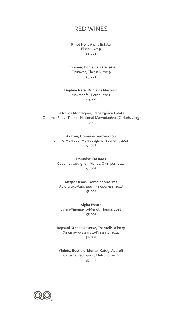#### **Pinot Noir, Alpha Estate** Florina, 2019

48,00€

#### **Limniona, Domaine Zafeirakis** Tyrnavos, Thessaly, 2019 49,00€

#### **Daphne Nera, Domaine Mercouri** Mavrodafni, Letrini, 2017 49,00€

**Le Roi de Montagnes, Papargyriou Estate** Cabernet Sauv.-Touriga Nacional-Mavrodaphne, Coritnh, 2019 55,00€

> **Avaton, Domaine Gerovasiliou** Limnio-Mavroudi-Mavrotragano, Epanomi, 2018 51,00€

**Domaine Katsaros** Cabernet sauvignon-Merlot, Olympus, 2017 52,00€

**Megas Oenos, Domaine Skouras** Agiorgitiko-Cab. sauv., Peloponese, 2018 53,00€

**Alpha Estate** Syrah-Xinomavro-Merlot, Florina, 2018 55,00€

**Rapsani Grande Reserve, Tsantalis Winery** Xinomavro-Stavroto-Krassato, 2014 56,00€

**Yiniets, Rossiu di Munte, Katogi Averoff** Cabernet sauvignon, Metsovo, 2016 57,00€

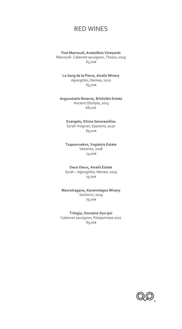**Fine Mavroudi, Anatolikos Vineyards** Mavroudi- Cabernet sauvignon, Thrace, 2019 63,00€

**Le Sang de la Pierre, Aivalis Winery** Agiorgitiko, Nemea, 2020 65,00€

**Avgoustiatis Reserve, Brintzikis Estate** Ancient Olympia, 2015 68,00€

> **Evangelo, Ktima Gerovassiliou** Syrah-Viognier, Epanomi, 2020 69,00€

**Tsapournakos, Vogiatzis Estate** Velvento, 2018 74,00€

**Deux Dieux, Aivalis Estate** Syrah – Agiorgitiko, Nemea, 2019 75,00€

**Mavrotragano, Karamolegos Winery** Santorini, 2019 79,00€

**Trilogia, Domaine Dyo Ipsi** Cabernet sauvignon, Peloponnese 2017 85,00€

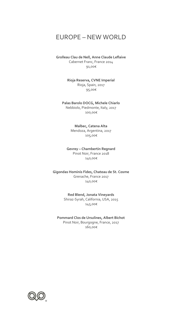# EUROPE – NEW WORLD

**Grolleau Clau de Nell, Anne Claude Leflaive** Cabernet Franc, France 2014 91,00€

> **Rioja Reserva, CVNE Imperial** Rioja, Spain, 2017 95,00€

**Palas Barolo DOCG, Michele Chiarlo** Nebbiolo, Piedmonte, Italy, 2017 100,00€

> **Malbec, Catena Alta** Mendoza, Argentina, 2017 105,00€

**Gevrey – Chambertin Regnard** Pinot Noir, France 2018 140,00€

**Gigondas Hominis Fides, Chateau de St. Cosme** Grenache, France 2017 140,00€

> **Red Blend, Jonata Vineyards** Shiraz-Syrah, California, USA, 2015 145,00€

**Pommard Clos de Ursulines, Albert Bichot** Pinοt Noir, Bourgogne, France, 2017 160,00€

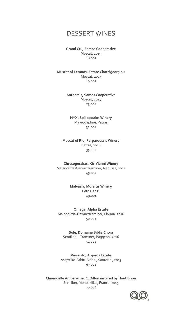### DESSERT WINES

**Grand Cru, Samos Cooperative** Muscat, 2019 18,00€

**Muscat of Lemnos, Estate Chatzigeorgiou** Muscat, 2017 19,00€

> **Anthemis, Samos Cooperative** Muscat, 2014 23,00€

**NYX, Spiliopoulos Winery** Mavrodaphne, Patras 32,00€

**Muscat of Rio, Parparoussis Winery** Patras, 2016 35,00€

**Chrysogerakas, Kir-Yianni Winery** Malagouzia-Gewürztraminer, Naoussa, 2013 45,00€

> **Malvasia, Moraitis Winery** Paros, 2011 49,00€

**Omega, Alpha Estate** Malagouzia-Gewürztraminer, Florina, 2016 50,00€

**Sole, Domaine Biblia Chora** Semillon – Traminer, Paggeon, 2016 51,00€

**Vinsanto, Argyros Estate** Assyrtiko-Athiri-Aidani, Santorini, 2013 67,00€

**Clarendelle Amberwine, C. Dillon inspired by Haut Brion** Semillon, Monbazillac, France, 2015 70,00€

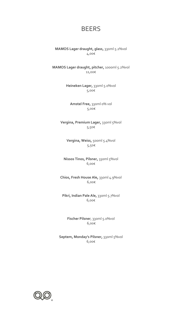# BEERS

**MAMOS Lager draught, glass,** 330ml 5.2%vol 4,00€

**MAMOS Lager draught, pitcher,** 1000ml 5.2%vol 11,00€

> **Heineken Lager,** 330ml 5.0%vol 5,00€

**Amstel Free,** 330ml 0% vol 5,00€

**Vergina, Premium Lager,** 330ml 5%vol 5,50€

**Vergina, Weiss,** 500ml 5.4%vol 5,50€

**Nissos Tinos, Pilsner,** 330ml 5%vol 6,00€

**Chios, Fresh House Ale,** 330ml 4.9%vol 6,00€

**Pikri, Indian Pale Ale,** 330ml 5.7%vol 6,00€

**Fischer Pilsner**, 330ml 5.0%vol 6,00€

**Septem, Monday's Pilsner,** 330ml 5%vol 6,00€